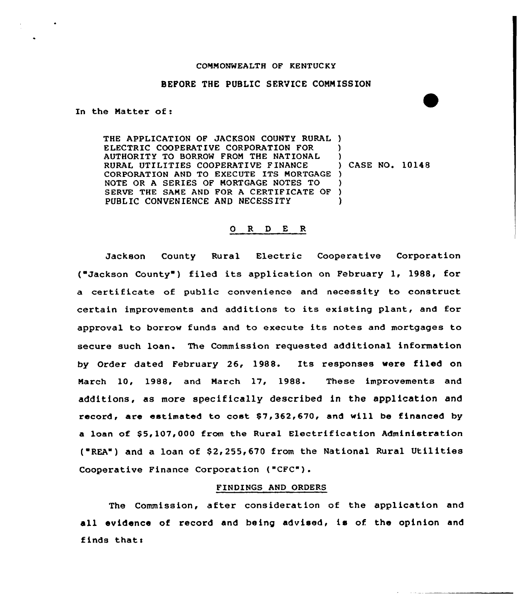## COMMONWEALTH OF KENTUCKY

## BEFORE THE PUBLIC SERVICE COMMISSION

In the Matter of:

THE APPLICATION OF JACKSON COUNTY RURAL ) ELECTRIC COOPERATIVE CORPORATION FOR ) AUTHORITY TO BORROW FROM THE NATIONAL )<br>RURAL UTILITIES COOPERATIVE FINANCE ) CASE NO. 10148 RURAL UTILITIES COOPERATIVE FINANCE CORPORATION AND TO EXECUTE ITS MORTGAGE ) NOTE OR <sup>A</sup> SERIES OF MORTGAGE NOTES TO ) SERVE THE SAME AND FOR A CERTIFICATE OF ) PUBLIC CONVENIENCE AND NECESSITY

## 0 R <sup>D</sup> E R

Jackson County Rural Electric Cooperative Corporation ("Jackson County") filed its application on February 1, 1988, for a certificate of public convenience and necessity to construct certain improvements and additions to its existing plant, and for approval to borrow funds and to execute its notes and mortgages to secure such loan. The Commission requested additional information by Order dated February 26, 1988. Its responses were filed on March 10, 1988, and March 17, 1988. These improvements and additions, as more specifically described in the application and record, are estimated to cost  $$7,362,670$ , and will be financed by a loan of \$5,107,000 from the Rural Electrification Administration  $($  "REA") and a loan of \$2,255,670 from the National Rural Utilities Cooperative Finance Corporation ("CFC").

## FINDINGS AND ORDERS

The Commission, after consideration of the application and all evidence of record and being advised, is of the opinion and finds thats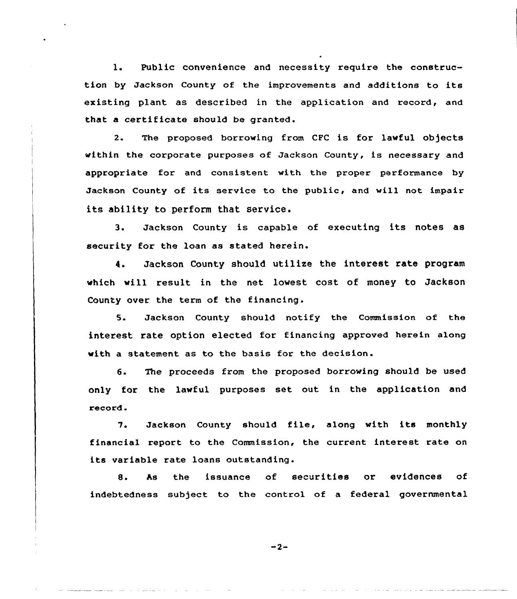1. Public convenience and necessity require the construction by Jackson County of the improvements and additions to its existing plant as described in the application and record, and that a certificate should be granted.

2. The proposed borrowing from CFC is for lawful objects within the corporate purposes of Jackson County, is necessary and appropriate for and consistent with the proper performance by Jackson County of its service to the public, and will not impair its ability to perform that service.

3. Jackson County is capable of executing its notes as security for the loan as stated herein.

4. Jackson County should utilize the interest rate program which will result in the net lowest cost of money to Jackson County over the term of the financing.

5. Jackson County should notify the Commission of the interest rate option elected for financing approved herein along with a statement as to the basis for the decision.

6. The proceeds from the proposed borrowing should be used only for the lawful purposes set out in the application and record.

7. Jackson County should file, along with its monthly financial report to the Commission, the current interest rate on its variable rate loans outstanding.

8. As the issuance of securities or evidences of indebtedness subject to the control of a federal governmental

 $-2-$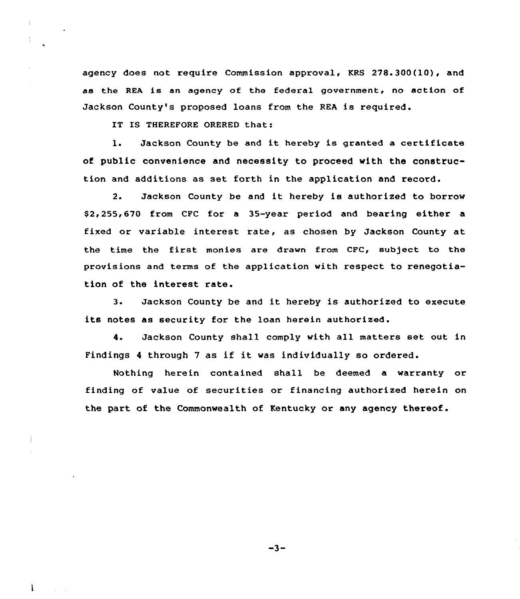agency does not require Commission approval, KRS 278. 300 (10), and as the REA is an agency of the federal government, no action of Jackson County's proposed loans from the REA is required.

IT IS THEREFORE ORERED that:

l. Jackson County be and it hereby is granted <sup>a</sup> certificate of public convenience and necessity to proceed with the construction and additions as set forth in the application and record.

2. Jackson County be and it hereby is authorized to borrow \$ 2,255,670 from CFC for a 35-year period and bearing either a fixed or variable interest rate, as chosen by Jackson County at the time the first monies are drawn from CFC, subject to the provisions and terms of the application with respect to renegotiation of the interest rate.

3. Jackson County be and it hereby is authorized to execute its notes as security for the loan herein authorized.

4. Jackson County shall comply with all matters set out in Findings <sup>4</sup> through <sup>7</sup> as if it was individually so ordered.

Nothing herein contained shall be deemed a warranty or finding of value of securities or financing authorized herein on the part of the Commonwealth of Kentucky or any agency thereof.

 $-3-$